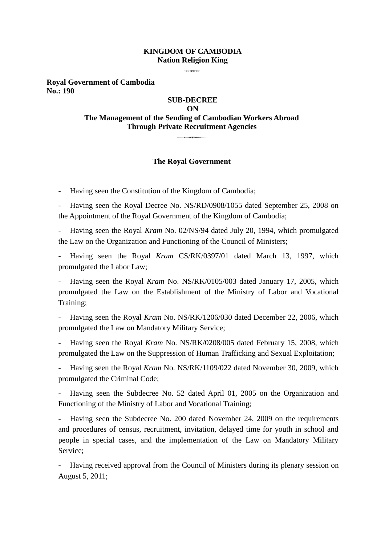#### **KINGDOM OF CAMBODIA Nation Religion King**

**Royal Government of Cambodia No.: 190**

## **SUB-DECREE ON The Management of the Sending of Cambodian Workers Abroad Through Private Recruitment Agencies** 3

#### **The Royal Government**

- Having seen the Constitution of the Kingdom of Cambodia;

Having seen the Royal Decree No. NS/RD/0908/1055 dated September 25, 2008 on the Appointment of the Royal Government of the Kingdom of Cambodia;

- Having seen the Royal *Kram* No. 02/NS/94 dated July 20, 1994, which promulgated the Law on the Organization and Functioning of the Council of Ministers;

- Having seen the Royal *Kram* CS/RK/0397/01 dated March 13, 1997, which promulgated the Labor Law;

- Having seen the Royal *Kram* No. NS/RK/0105/003 dated January 17, 2005, which promulgated the Law on the Establishment of the Ministry of Labor and Vocational Training;

- Having seen the Royal *Kram* No. NS/RK/1206/030 dated December 22, 2006, which promulgated the Law on Mandatory Military Service;

- Having seen the Royal *Kram* No. NS/RK/0208/005 dated February 15, 2008, which promulgated the Law on the Suppression of Human Trafficking and Sexual Exploitation;

- Having seen the Royal *Kram* No. NS/RK/1109/022 dated November 30, 2009, which promulgated the Criminal Code;

Having seen the Subdecree No. 52 dated April 01, 2005 on the Organization and Functioning of the Ministry of Labor and Vocational Training;

Having seen the Subdecree No. 200 dated November 24, 2009 on the requirements and procedures of census, recruitment, invitation, delayed time for youth in school and people in special cases, and the implementation of the Law on Mandatory Military Service;

Having received approval from the Council of Ministers during its plenary session on August 5, 2011;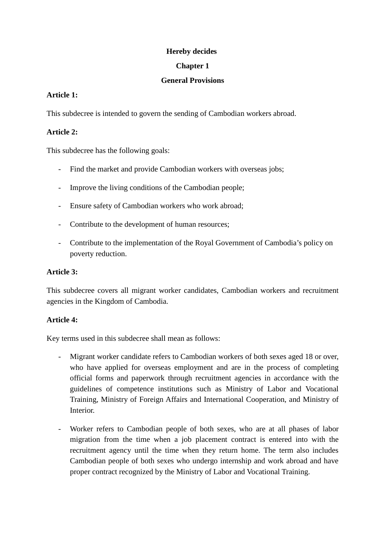## **Hereby decides**

## **Chapter 1**

## **General Provisions**

## **Article 1:**

This subdecree is intended to govern the sending of Cambodian workers abroad.

## **Article 2:**

This subdecree has the following goals:

- Find the market and provide Cambodian workers with overseas jobs;
- Improve the living conditions of the Cambodian people;
- Ensure safety of Cambodian workers who work abroad;
- Contribute to the development of human resources;
- Contribute to the implementation of the Royal Government of Cambodia's policy on poverty reduction.

## **Article 3:**

This subdecree covers all migrant worker candidates, Cambodian workers and recruitment agencies in the Kingdom of Cambodia.

## **Article 4:**

Key terms used in this subdecree shall mean as follows:

- Migrant worker candidate refers to Cambodian workers of both sexes aged 18 or over, who have applied for overseas employment and are in the process of completing official forms and paperwork through recruitment agencies in accordance with the guidelines of competence institutions such as Ministry of Labor and Vocational Training, Ministry of Foreign Affairs and International Cooperation, and Ministry of Interior.
- Worker refers to Cambodian people of both sexes, who are at all phases of labor migration from the time when a job placement contract is entered into with the recruitment agency until the time when they return home. The term also includes Cambodian people of both sexes who undergo internship and work abroad and have proper contract recognized by the Ministry of Labor and Vocational Training.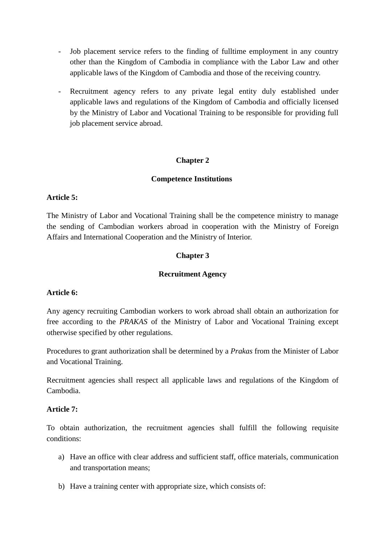- Job placement service refers to the finding of fulltime employment in any country other than the Kingdom of Cambodia in compliance with the Labor Law and other applicable laws of the Kingdom of Cambodia and those of the receiving country.
- Recruitment agency refers to any private legal entity duly established under applicable laws and regulations of the Kingdom of Cambodia and officially licensed by the Ministry of Labor and Vocational Training to be responsible for providing full job placement service abroad.

## **Chapter 2**

#### **Competence Institutions**

## **Article 5:**

The Ministry of Labor and Vocational Training shall be the competence ministry to manage the sending of Cambodian workers abroad in cooperation with the Ministry of Foreign Affairs and International Cooperation and the Ministry of Interior.

## **Chapter 3**

#### **Recruitment Agency**

## **Article 6:**

Any agency recruiting Cambodian workers to work abroad shall obtain an authorization for free according to the *PRAKAS* of the Ministry of Labor and Vocational Training except otherwise specified by other regulations.

Procedures to grant authorization shall be determined by a *Prakas* from the Minister of Labor and Vocational Training.

Recruitment agencies shall respect all applicable laws and regulations of the Kingdom of Cambodia.

#### **Article 7:**

To obtain authorization, the recruitment agencies shall fulfill the following requisite conditions:

- a) Have an office with clear address and sufficient staff, office materials, communication and transportation means;
- b) Have a training center with appropriate size, which consists of: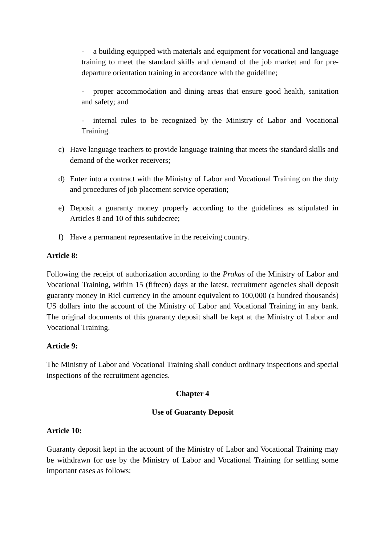a building equipped with materials and equipment for vocational and language training to meet the standard skills and demand of the job market and for predeparture orientation training in accordance with the guideline;

proper accommodation and dining areas that ensure good health, sanitation and safety; and

internal rules to be recognized by the Ministry of Labor and Vocational Training.

- c) Have language teachers to provide language training that meets the standard skills and demand of the worker receivers;
- d) Enter into a contract with the Ministry of Labor and Vocational Training on the duty and procedures of job placement service operation;
- e) Deposit a guaranty money properly according to the guidelines as stipulated in Articles 8 and 10 of this subdecree;
- f) Have a permanent representative in the receiving country.

## **Article 8:**

Following the receipt of authorization according to the *Prakas* of the Ministry of Labor and Vocational Training, within 15 (fifteen) days at the latest, recruitment agencies shall deposit guaranty money in Riel currency in the amount equivalent to 100,000 (a hundred thousands) US dollars into the account of the Ministry of Labor and Vocational Training in any bank. The original documents of this guaranty deposit shall be kept at the Ministry of Labor and Vocational Training.

## **Article 9:**

The Ministry of Labor and Vocational Training shall conduct ordinary inspections and special inspections of the recruitment agencies.

## **Chapter 4**

## **Use of Guaranty Deposit**

## **Article 10:**

Guaranty deposit kept in the account of the Ministry of Labor and Vocational Training may be withdrawn for use by the Ministry of Labor and Vocational Training for settling some important cases as follows: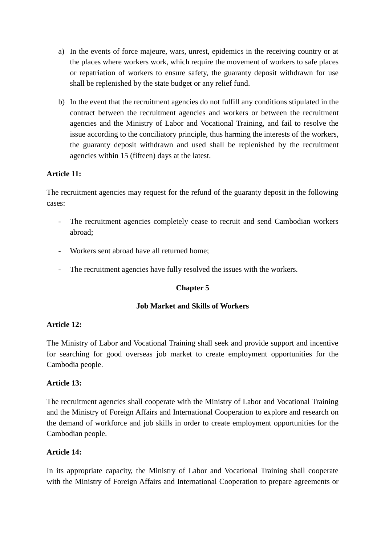- a) In the events of force majeure, wars, unrest, epidemics in the receiving country or at the places where workers work, which require the movement of workers to safe places or repatriation of workers to ensure safety, the guaranty deposit withdrawn for use shall be replenished by the state budget or any relief fund.
- b) In the event that the recruitment agencies do not fulfill any conditions stipulated in the contract between the recruitment agencies and workers or between the recruitment agencies and the Ministry of Labor and Vocational Training, and fail to resolve the issue according to the conciliatory principle, thus harming the interests of the workers, the guaranty deposit withdrawn and used shall be replenished by the recruitment agencies within 15 (fifteen) days at the latest.

## **Article 11:**

The recruitment agencies may request for the refund of the guaranty deposit in the following cases:

- The recruitment agencies completely cease to recruit and send Cambodian workers abroad;
- Workers sent abroad have all returned home:
- The recruitment agencies have fully resolved the issues with the workers.

## **Chapter 5**

## **Job Market and Skills of Workers**

## **Article 12:**

The Ministry of Labor and Vocational Training shall seek and provide support and incentive for searching for good overseas job market to create employment opportunities for the Cambodia people.

## **Article 13:**

The recruitment agencies shall cooperate with the Ministry of Labor and Vocational Training and the Ministry of Foreign Affairs and International Cooperation to explore and research on the demand of workforce and job skills in order to create employment opportunities for the Cambodian people.

## **Article 14:**

In its appropriate capacity, the Ministry of Labor and Vocational Training shall cooperate with the Ministry of Foreign Affairs and International Cooperation to prepare agreements or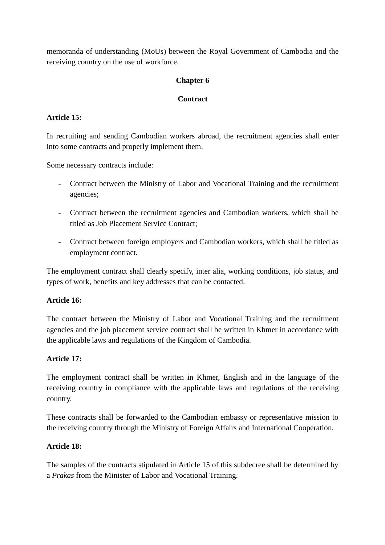memoranda of understanding (MoUs) between the Royal Government of Cambodia and the receiving country on the use of workforce.

## **Chapter 6**

## **Contract**

## **Article 15:**

In recruiting and sending Cambodian workers abroad, the recruitment agencies shall enter into some contracts and properly implement them.

Some necessary contracts include:

- Contract between the Ministry of Labor and Vocational Training and the recruitment agencies;
- Contract between the recruitment agencies and Cambodian workers, which shall be titled as Job Placement Service Contract;
- Contract between foreign employers and Cambodian workers, which shall be titled as employment contract.

The employment contract shall clearly specify, inter alia, working conditions, job status, and types of work, benefits and key addresses that can be contacted.

## **Article 16:**

The contract between the Ministry of Labor and Vocational Training and the recruitment agencies and the job placement service contract shall be written in Khmer in accordance with the applicable laws and regulations of the Kingdom of Cambodia.

## **Article 17:**

The employment contract shall be written in Khmer, English and in the language of the receiving country in compliance with the applicable laws and regulations of the receiving country.

These contracts shall be forwarded to the Cambodian embassy or representative mission to the receiving country through the Ministry of Foreign Affairs and International Cooperation.

## **Article 18:**

The samples of the contracts stipulated in Article 15 of this subdecree shall be determined by a *Prakas* from the Minister of Labor and Vocational Training.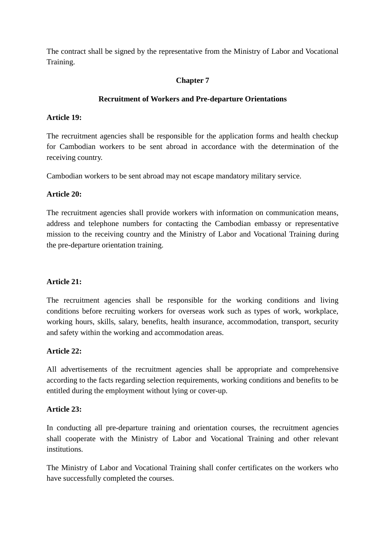The contract shall be signed by the representative from the Ministry of Labor and Vocational Training.

# **Chapter 7**

## **Recruitment of Workers and Pre-departure Orientations**

## **Article 19:**

The recruitment agencies shall be responsible for the application forms and health checkup for Cambodian workers to be sent abroad in accordance with the determination of the receiving country.

Cambodian workers to be sent abroad may not escape mandatory military service.

## **Article 20:**

The recruitment agencies shall provide workers with information on communication means, address and telephone numbers for contacting the Cambodian embassy or representative mission to the receiving country and the Ministry of Labor and Vocational Training during the pre-departure orientation training.

## **Article 21:**

The recruitment agencies shall be responsible for the working conditions and living conditions before recruiting workers for overseas work such as types of work, workplace, working hours, skills, salary, benefits, health insurance, accommodation, transport, security and safety within the working and accommodation areas.

## **Article 22:**

All advertisements of the recruitment agencies shall be appropriate and comprehensive according to the facts regarding selection requirements, working conditions and benefits to be entitled during the employment without lying or cover-up.

## **Article 23:**

In conducting all pre-departure training and orientation courses, the recruitment agencies shall cooperate with the Ministry of Labor and Vocational Training and other relevant institutions.

The Ministry of Labor and Vocational Training shall confer certificates on the workers who have successfully completed the courses.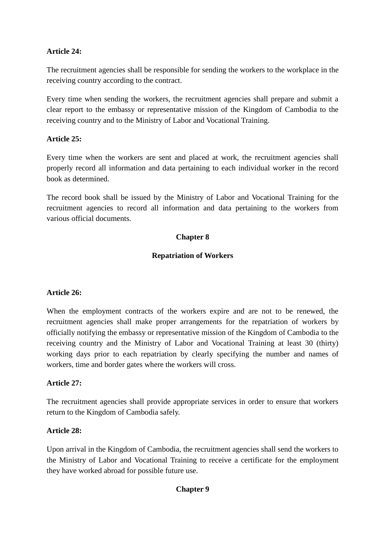## **Article 24:**

The recruitment agencies shall be responsible for sending the workers to the workplace in the receiving country according to the contract.

Every time when sending the workers, the recruitment agencies shall prepare and submit a clear report to the embassy or representative mission of the Kingdom of Cambodia to the receiving country and to the Ministry of Labor and Vocational Training.

## **Article 25:**

Every time when the workers are sent and placed at work, the recruitment agencies shall properly record all information and data pertaining to each individual worker in the record book as determined.

The record book shall be issued by the Ministry of Labor and Vocational Training for the recruitment agencies to record all information and data pertaining to the workers from various official documents.

## **Chapter 8**

## **Repatriation of Workers**

## **Article 26:**

When the employment contracts of the workers expire and are not to be renewed, the recruitment agencies shall make proper arrangements for the repatriation of workers by officially notifying the embassy or representative mission of the Kingdom of Cambodia to the receiving country and the Ministry of Labor and Vocational Training at least 30 (thirty) working days prior to each repatriation by clearly specifying the number and names of workers, time and border gates where the workers will cross.

## **Article 27:**

The recruitment agencies shall provide appropriate services in order to ensure that workers return to the Kingdom of Cambodia safely.

## **Article 28:**

Upon arrival in the Kingdom of Cambodia, the recruitment agencies shall send the workers to the Ministry of Labor and Vocational Training to receive a certificate for the employment they have worked abroad for possible future use.

## **Chapter 9**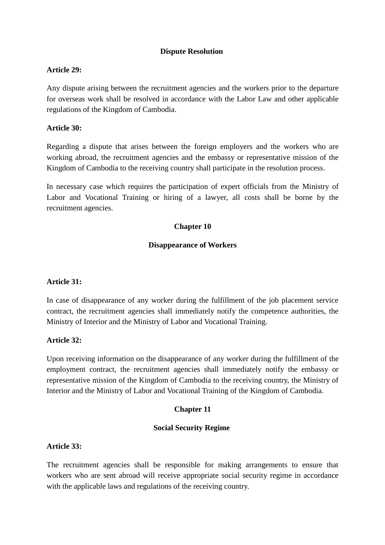#### **Dispute Resolution**

#### **Article 29:**

Any dispute arising between the recruitment agencies and the workers prior to the departure for overseas work shall be resolved in accordance with the Labor Law and other applicable regulations of the Kingdom of Cambodia.

#### **Article 30:**

Regarding a dispute that arises between the foreign employers and the workers who are working abroad, the recruitment agencies and the embassy or representative mission of the Kingdom of Cambodia to the receiving country shall participate in the resolution process.

In necessary case which requires the participation of expert officials from the Ministry of Labor and Vocational Training or hiring of a lawyer, all costs shall be borne by the recruitment agencies.

## **Chapter 10**

#### **Disappearance of Workers**

## **Article 31:**

In case of disappearance of any worker during the fulfillment of the job placement service contract, the recruitment agencies shall immediately notify the competence authorities, the Ministry of Interior and the Ministry of Labor and Vocational Training.

## **Article 32:**

Upon receiving information on the disappearance of any worker during the fulfillment of the employment contract, the recruitment agencies shall immediately notify the embassy or representative mission of the Kingdom of Cambodia to the receiving country, the Ministry of Interior and the Ministry of Labor and Vocational Training of the Kingdom of Cambodia.

#### **Chapter 11**

#### **Social Security Regime**

## **Article 33:**

The recruitment agencies shall be responsible for making arrangements to ensure that workers who are sent abroad will receive appropriate social security regime in accordance with the applicable laws and regulations of the receiving country.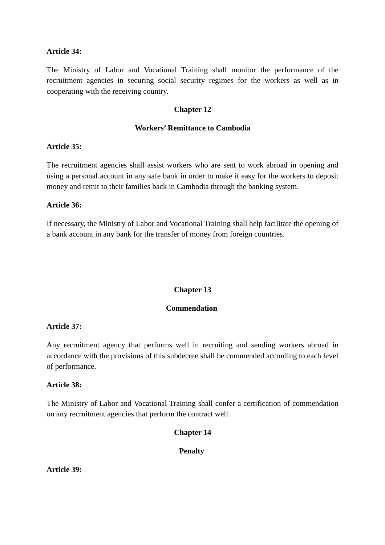#### **Article 34:**

The Ministry of Labor and Vocational Training shall monitor the performance of the recruitment agencies in securing social security regimes for the workers as well as in cooperating with the receiving country.

#### **Chapter 12**

#### **Workers' Remittance to Cambodia**

#### **Article 35:**

The recruitment agencies shall assist workers who are sent to work abroad in opening and using a personal account in any safe bank in order to make it easy for the workers to deposit money and remit to their families back in Cambodia through the banking system.

#### **Article 36:**

If necessary, the Ministry of Labor and Vocational Training shall help facilitate the opening of a bank account in any bank for the transfer of money from foreign countries.

#### **Chapter 13**

#### **Commendation**

#### **Article 37:**

Any recruitment agency that performs well in recruiting and sending workers abroad in accordance with the provisions of this subdecree shall be commended according to each level of performance.

#### **Article 38:**

The Ministry of Labor and Vocational Training shall confer a certification of commendation on any recruitment agencies that perform the contract well.

#### **Chapter 14**

#### **Penalty**

**Article 39:**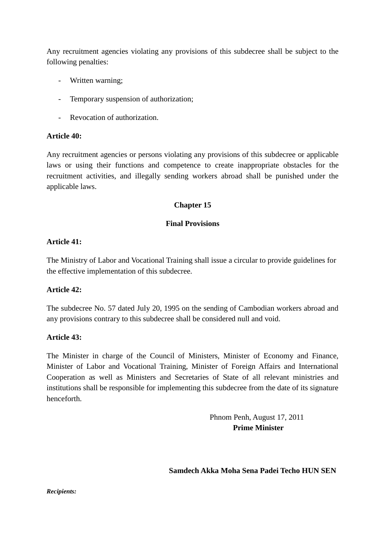Any recruitment agencies violating any provisions of this subdecree shall be subject to the following penalties:

- Written warning;
- Temporary suspension of authorization;
- Revocation of authorization.

#### **Article 40:**

Any recruitment agencies or persons violating any provisions of this subdecree or applicable laws or using their functions and competence to create inappropriate obstacles for the recruitment activities, and illegally sending workers abroad shall be punished under the applicable laws.

## **Chapter 15**

## **Final Provisions**

## **Article 41:**

The Ministry of Labor and Vocational Training shall issue a circular to provide guidelines for the effective implementation of this subdecree.

## **Article 42:**

The subdecree No. 57 dated July 20, 1995 on the sending of Cambodian workers abroad and any provisions contrary to this subdecree shall be considered null and void.

## **Article 43:**

The Minister in charge of the Council of Ministers, Minister of Economy and Finance, Minister of Labor and Vocational Training, Minister of Foreign Affairs and International Cooperation as well as Ministers and Secretaries of State of all relevant ministries and institutions shall be responsible for implementing this subdecree from the date of its signature henceforth.

> Phnom Penh, August 17, 2011 **Prime Minister**